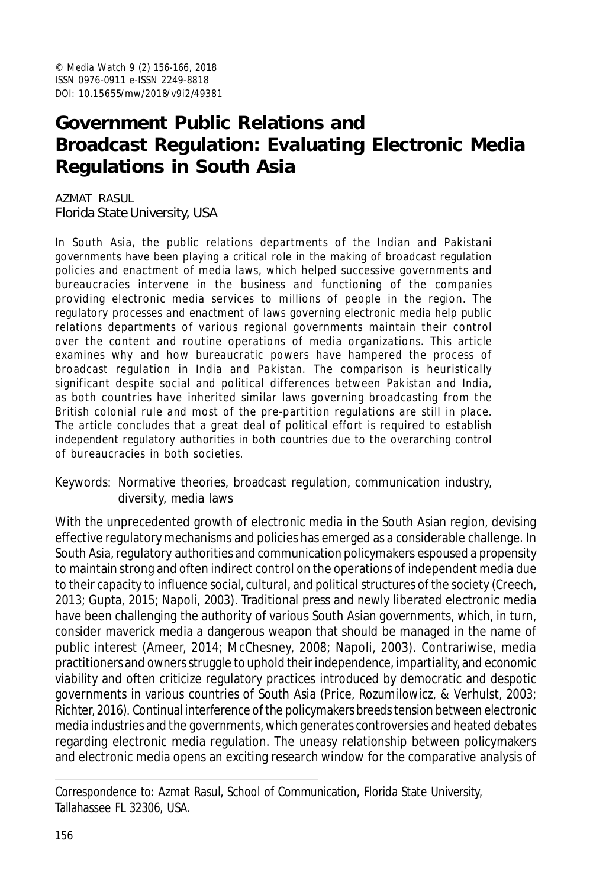# **Government Public Relations and Broadcast Regulation: Evaluating Electronic Media Regulations in South Asia**

AZMAT RASUL Florida State University, USA

In South Asia, the public relations departments of the Indian and Pakistani governments have been playing a critical role in the making of broadcast regulation policies and enactment of media laws, which helped successive governments and bureaucracies intervene in the business and functioning of the companies providing electronic media services to millions of people in the region. The regulatory processes and enactment of laws governing electronic media help public relations departments of various regional governments maintain their control over the content and routine operations of media organizations. This article examines why and how bureaucratic powers have hampered the process of broadcast regulation in India and Pakistan. The comparison is heuristically significant despite social and political differences between Pakistan and India, as both countries have inherited similar laws governing broadcasting from the British colonial rule and most of the pre-partition regulations are still in place. The article concludes that a great deal of political effort is required to establish independent regulatory authorities in both countries due to the overarching control of bureaucracies in both societies.

Keywords: Normative theories, broadcast regulation, communication industry, diversity, media laws

With the unprecedented growth of electronic media in the South Asian region, devising effective regulatory mechanisms and policies has emerged as a considerable challenge. In South Asia, regulatory authorities and communication policymakers espoused a propensity to maintain strong and often indirect control on the operations of independent media due to their capacity to influence social, cultural, and political structures of the society (Creech, 2013; Gupta, 2015; Napoli, 2003). Traditional press and newly liberated electronic media have been challenging the authority of various South Asian governments, which, in turn, consider maverick media a dangerous weapon that should be managed in the name of *public interest* (Ameer, 2014; McChesney, 2008; Napoli, 2003). Contrariwise, media practitioners and owners struggle to uphold their independence, impartiality, and economic viability and often criticize regulatory practices introduced by democratic and despotic governments in various countries of South Asia (Price, Rozumilowicz, & Verhulst, 2003; Richter, 2016). Continual interference of the policymakers breeds tension between electronic media industries and the governments, which generates controversies and heated debates regarding electronic media regulation. The uneasy relationship between policymakers and electronic media opens an exciting research window for the comparative analysis of

Correspondence to: Azmat Rasul, School of Communication, Florida State University, Tallahassee FL 32306, USA.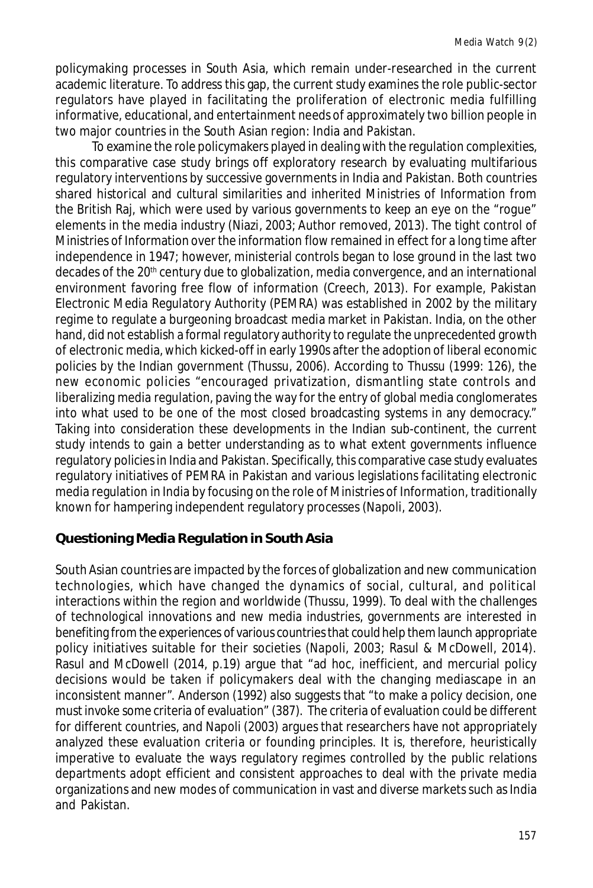policymaking processes in South Asia, which remain under-researched in the current academic literature. To address this gap, the current study examines the role public-sector regulators have played in facilitating the proliferation of electronic media fulfilling informative, educational, and entertainment needs of approximately two billion people in two major countries in the South Asian region: India and Pakistan.

To examine the role policymakers played in dealing with the regulation complexities, this comparative case study brings off exploratory research by evaluating multifarious regulatory interventions by successive governments in India and Pakistan. Both countries shared historical and cultural similarities and inherited Ministries of Information from the British Raj, which were used by various governments to keep an eye on the "rogue" elements in the media industry (Niazi, 2003; Author removed, 2013). The tight control of Ministries of Information over the information flow remained in effect for a long time after independence in 1947; however, ministerial controls began to lose ground in the last two decades of the 20<sup>th</sup> century due to globalization, media convergence, and an international environment favoring free flow of information (Creech, 2013). For example, Pakistan Electronic Media Regulatory Authority (PEMRA) was established in 2002 by the military regime to regulate a burgeoning broadcast media market in Pakistan. India, on the other hand, did not establish a formal regulatory authority to regulate the unprecedented growth of electronic media, which kicked-off in early 1990s after the adoption of liberal economic policies by the Indian government (Thussu, 2006). According to Thussu (1999: 126), the new economic policies "encouraged privatization, dismantling state controls and liberalizing media regulation, paving the way for the entry of global media conglomerates into what used to be one of the most closed broadcasting systems in any democracy." Taking into consideration these developments in the Indian sub-continent, the current study intends to gain a better understanding as to what extent governments influence regulatory policies in India and Pakistan. Specifically, this comparative case study evaluates regulatory initiatives of PEMRA in Pakistan and various legislations facilitating electronic media regulation in India by focusing on the role of Ministries of Information, traditionally known for hampering independent regulatory processes (Napoli, 2003).

## **Questioning Media Regulation in South Asia**

South Asian countries are impacted by the forces of globalization and new communication technologies, which have changed the dynamics of social, cultural, and political interactions within the region and worldwide (Thussu, 1999). To deal with the challenges of technological innovations and new media industries, governments are interested in benefiting from the experiences of various countries that could help them launch appropriate policy initiatives suitable for their societies (Napoli, 2003; Rasul & McDowell, 2014). Rasul and McDowell (2014, p.19) argue that "ad hoc, inefficient, and mercurial policy decisions would be taken if policymakers deal with the changing mediascape in an inconsistent manner". Anderson (1992) also suggests that "to make a policy decision, one must invoke some criteria of evaluation" (387). The criteria of evaluation could be different for different countries, and Napoli (2003) argues that researchers have not appropriately analyzed these evaluation criteria or founding principles. It is, therefore, heuristically imperative to evaluate the ways regulatory regimes controlled by the public relations departments adopt efficient and consistent approaches to deal with the private media organizations and new modes of communication in vast and diverse markets such as India and Pakistan.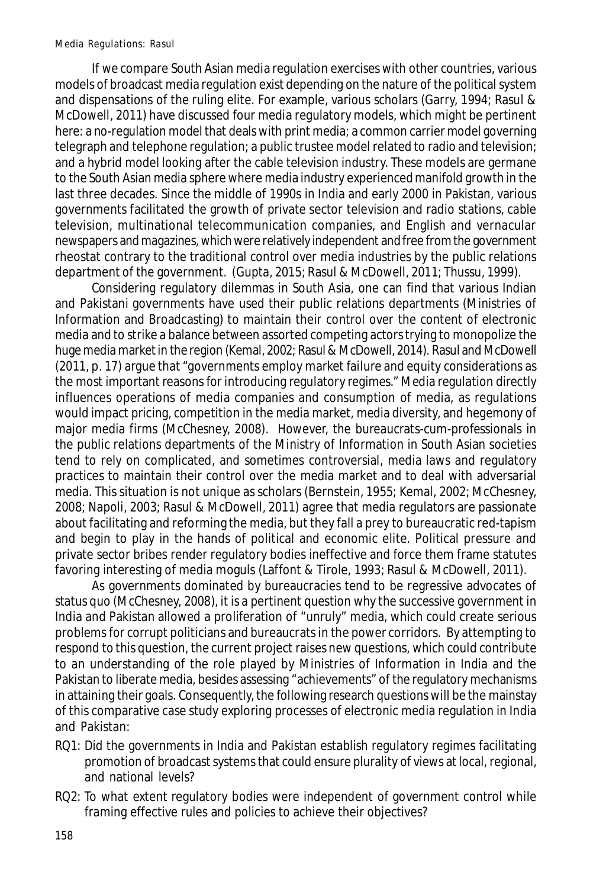If we compare South Asian media regulation exercises with other countries, various models of broadcast media regulation exist depending on the nature of the political system and dispensations of the ruling elite. For example, various scholars (Garry, 1994; Rasul & McDowell, 2011) have discussed four media regulatory models, which might be pertinent here: a no-regulation model that deals with print media; a common carrier model governing telegraph and telephone regulation; a public trustee model related to radio and television; and a hybrid model looking after the cable television industry. These models are germane to the South Asian media sphere where media industry experienced manifold growth in the last three decades. Since the middle of 1990s in India and early 2000 in Pakistan, various governments facilitated the growth of private sector television and radio stations, cable television, multinational telecommunication companies, and English and vernacular newspapers and magazines, which were relatively independent and free from the government rheostat contrary to the traditional control over media industries by the public relations department of the government. (Gupta, 2015; Rasul & McDowell, 2011; Thussu, 1999).

Considering regulatory dilemmas in South Asia, one can find that various Indian and Pakistani governments have used their public relations departments (Ministries of Information and Broadcasting) to maintain their control over the content of electronic media and to strike a balance between assorted competing actors trying to monopolize the huge media market in the region (Kemal, 2002; Rasul & McDowell, 2014). Rasul and McDowell (2011, p. 17) argue that "governments employ market failure and equity considerations as the most important reasons for introducing regulatory regimes." Media regulation directly influences operations of media companies and consumption of media, as regulations would impact pricing, competition in the media market, media diversity, and hegemony of major media firms (McChesney, 2008). However, the bureaucrats-cum-professionals in the public relations departments of the Ministry of Information in South Asian societies tend to rely on complicated, and sometimes controversial, media laws and regulatory practices to maintain their control over the media market and to deal with adversarial media. This situation is not unique as scholars (Bernstein, 1955; Kemal, 2002; McChesney, 2008; Napoli, 2003; Rasul & McDowell, 2011) agree that media regulators are passionate about facilitating and reforming the media, but they fall a prey to bureaucratic red-tapism and begin to play in the hands of political and economic elite. Political pressure and private sector bribes render regulatory bodies ineffective and force them frame statutes favoring interesting of media moguls (Laffont & Tirole, 1993; Rasul & McDowell, 2011).

As governments dominated by bureaucracies tend to be regressive advocates of status quo (McChesney, 2008), it is a pertinent question why the successive government in India and Pakistan allowed a proliferation of "unruly" media, which could create serious problems for corrupt politicians and bureaucrats in the power corridors. By attempting to respond to this question, the current project raises new questions, which could contribute to an understanding of the role played by Ministries of Information in India and the Pakistan to liberate media, besides assessing "achievements" of the regulatory mechanisms in attaining their goals. Consequently, the following research questions will be the mainstay of this comparative case study exploring processes of electronic media regulation in India and Pakistan:

- RQ1: Did the governments in India and Pakistan establish regulatory regimes facilitating promotion of broadcast systems that could ensure plurality of views at local, regional, and national levels?
- RQ2: To what extent regulatory bodies were independent of government control while framing effective rules and policies to achieve their objectives?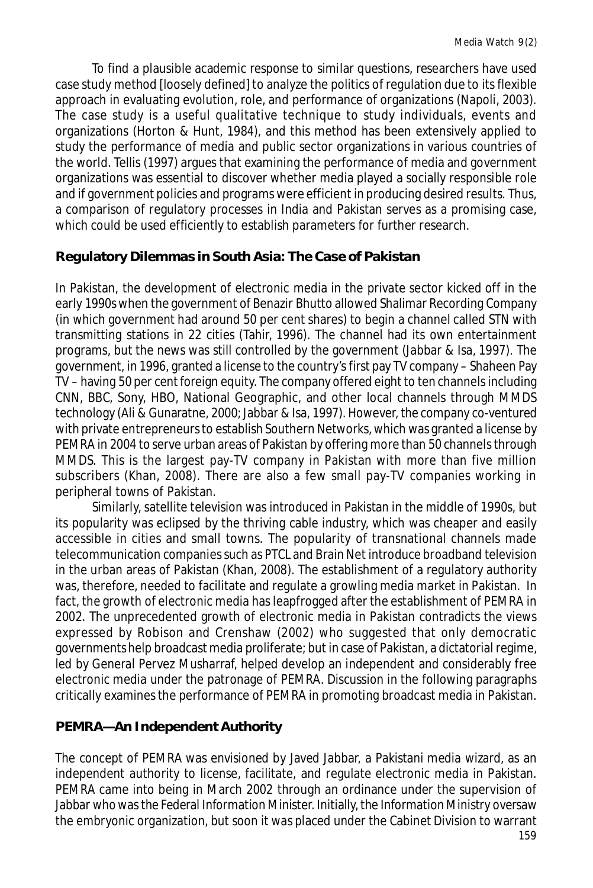To find a plausible academic response to similar questions, researchers have used case study method [loosely defined] to analyze the politics of regulation due to its flexible approach in evaluating evolution, role, and performance of organizations (Napoli, 2003). The case study is a useful qualitative technique to study individuals, events and organizations (Horton & Hunt, 1984), and this method has been extensively applied to study the performance of media and public sector organizations in various countries of the world. Tellis (1997) argues that examining the performance of media and government organizations was essential to discover whether media played a socially responsible role and if government policies and programs were efficient in producing desired results. Thus, a comparison of regulatory processes in India and Pakistan serves as a promising case, which could be used efficiently to establish parameters for further research.

#### **Regulatory Dilemmas in South Asia: The Case of Pakistan**

In Pakistan, the development of electronic media in the private sector kicked off in the early 1990s when the government of Benazir Bhutto allowed Shalimar Recording Company (in which government had around 50 per cent shares) to begin a channel called STN with transmitting stations in 22 cities (Tahir, 1996). The channel had its own entertainment programs, but the news was still controlled by the government (Jabbar & Isa, 1997). The government, in 1996, granted a license to the country's first pay TV company – Shaheen Pay TV – having 50 per cent foreign equity. The company offered eight to ten channels including CNN, BBC, Sony, HBO, National Geographic, and other local channels through MMDS technology (Ali & Gunaratne, 2000; Jabbar & Isa, 1997). However, the company co-ventured with private entrepreneurs to establish Southern Networks, which was granted a license by PEMRA in 2004 to serve urban areas of Pakistan by offering more than 50 channels through MMDS. This is the largest pay-TV company in Pakistan with more than five million subscribers (Khan, 2008). There are also a few small pay-TV companies working in peripheral towns of Pakistan.

Similarly, satellite television was introduced in Pakistan in the middle of 1990s, but its popularity was eclipsed by the thriving cable industry, which was cheaper and easily accessible in cities and small towns. The popularity of transnational channels made telecommunication companies such as PTCL and Brain Net introduce broadband television in the urban areas of Pakistan (Khan, 2008). The establishment of a regulatory authority was, therefore, needed to facilitate and regulate a growling media market in Pakistan. In fact, the growth of electronic media has leapfrogged after the establishment of PEMRA in 2002. The unprecedented growth of electronic media in Pakistan contradicts the views expressed by Robison and Crenshaw (2002) who suggested that only democratic governments help broadcast media proliferate; but in case of Pakistan, a dictatorial regime, led by General Pervez Musharraf, helped develop an independent and considerably free electronic media under the patronage of PEMRA. Discussion in the following paragraphs critically examines the performance of PEMRA in promoting broadcast media in Pakistan.

#### **PEMRA—An Independent Authority**

The concept of PEMRA was envisioned by Javed Jabbar, a Pakistani media wizard, as an independent authority to license, facilitate, and regulate electronic media in Pakistan. PEMRA came into being in March 2002 through an ordinance under the supervision of Jabbar who was the Federal Information Minister. Initially, the Information Ministry oversaw the embryonic organization, but soon it was placed under the Cabinet Division to warrant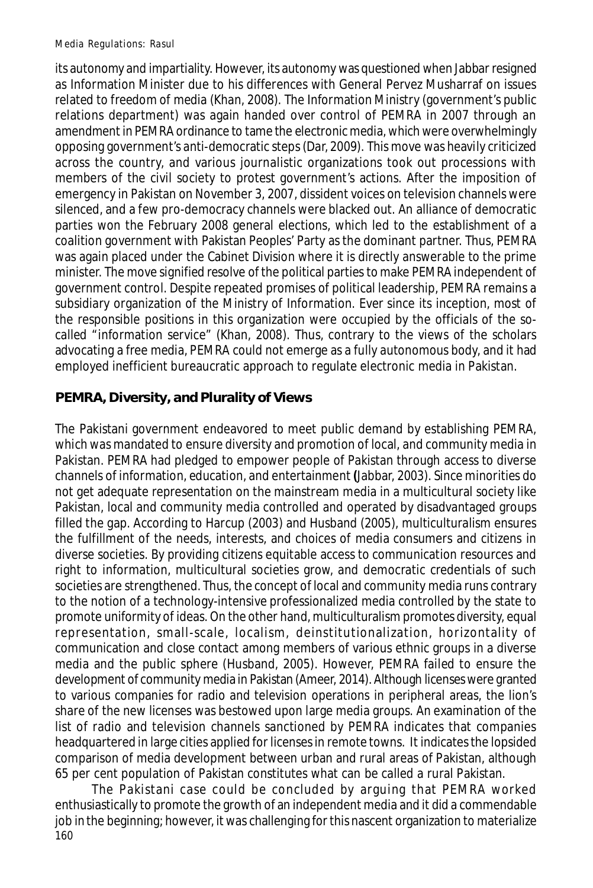its autonomy and impartiality. However, its autonomy was questioned when Jabbar resigned as Information Minister due to his differences with General Pervez Musharraf on issues related to freedom of media (Khan, 2008). The Information Ministry (government's public relations department) was again handed over control of PEMRA in 2007 through an amendment in PEMRA ordinance to tame the electronic media, which were overwhelmingly opposing government's anti-democratic steps (Dar, 2009). This move was heavily criticized across the country, and various journalistic organizations took out processions with members of the civil society to protest government's actions. After the imposition of emergency in Pakistan on November 3, 2007, dissident voices on television channels were silenced, and a few pro-democracy channels were blacked out. An alliance of democratic parties won the February 2008 general elections, which led to the establishment of a coalition government with Pakistan Peoples' Party as the dominant partner. Thus, PEMRA was again placed under the Cabinet Division where it is directly answerable to the prime minister. The move signified resolve of the political parties to make PEMRA independent of government control. Despite repeated promises of political leadership, PEMRA remains a subsidiary organization of the Ministry of Information. Ever since its inception, most of the responsible positions in this organization were occupied by the officials of the socalled "information service" (Khan, 2008). Thus, contrary to the views of the scholars advocating a free media, PEMRA could not emerge as a fully autonomous body, and it had employed inefficient bureaucratic approach to regulate electronic media in Pakistan.

# **PEMRA, Diversity, and Plurality of Views**

The Pakistani government endeavored to meet public demand by establishing PEMRA, which was mandated to ensure diversity and promotion of local, and community media in Pakistan. PEMRA had pledged to empower people of Pakistan through access to diverse channels of information, education, and entertainment **(**Jabbar, 2003). Since minorities do not get adequate representation on the mainstream media in a multicultural society like Pakistan, local and community media controlled and operated by disadvantaged groups filled the gap. According to Harcup (2003) and Husband (2005), multiculturalism ensures the fulfillment of the needs, interests, and choices of media consumers and citizens in diverse societies. By providing citizens equitable access to communication resources and right to information, multicultural societies grow, and democratic credentials of such societies are strengthened. Thus, the concept of local and community media runs contrary to the notion of a technology-intensive professionalized media controlled by the state to promote uniformity of ideas. On the other hand, multiculturalism promotes diversity, equal representation, small-scale, localism, deinstitutionalization, horizontality of communication and close contact among members of various ethnic groups in a diverse media and the public sphere (Husband, 2005). However, PEMRA failed to ensure the development of community media in Pakistan (Ameer, 2014). Although licenses were granted to various companies for radio and television operations in peripheral areas, the lion's share of the new licenses was bestowed upon large media groups. An examination of the list of radio and television channels sanctioned by PEMRA indicates that companies headquartered in large cities applied for licenses in remote towns. It indicates the lopsided comparison of media development between urban and rural areas of Pakistan, although 65 per cent population of Pakistan constitutes what can be called a rural Pakistan.

160 The Pakistani case could be concluded by arguing that PEMRA worked enthusiastically to promote the growth of an independent media and it did a commendable job in the beginning; however, it was challenging for this nascent organization to materialize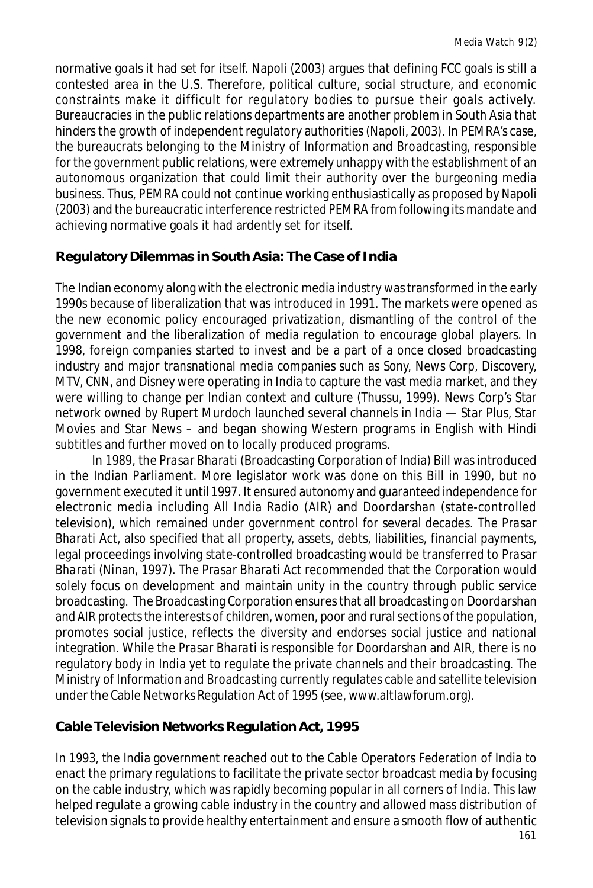normative goals it had set for itself. Napoli (2003) argues that defining FCC goals is still a contested area in the U.S. Therefore, political culture, social structure, and economic constraints make it difficult for regulatory bodies to pursue their goals actively. Bureaucracies in the public relations departments are another problem in South Asia that hinders the growth of independent regulatory authorities (Napoli, 2003). In PEMRA's case, the bureaucrats belonging to the Ministry of Information and Broadcasting, responsible for the government public relations, were extremely unhappy with the establishment of an autonomous organization that could limit their authority over the burgeoning media business. Thus, PEMRA could not continue working enthusiastically as proposed by Napoli (2003) and the bureaucratic interference restricted PEMRA from following its mandate and achieving normative goals it had ardently set for itself.

# **Regulatory Dilemmas in South Asia: The Case of India**

The Indian economy along with the electronic media industry was transformed in the early 1990s because of liberalization that was introduced in 1991. The markets were opened as the new economic policy encouraged privatization, dismantling of the control of the government and the liberalization of media regulation to encourage global players. In 1998, foreign companies started to invest and be a part of a once closed broadcasting industry and major transnational media companies such as Sony, News Corp, Discovery, MTV, CNN, and Disney were operating in India to capture the vast media market, and they were willing to change per Indian context and culture (Thussu, 1999). News Corp's Star network owned by Rupert Murdoch launched several channels in India — Star Plus, Star Movies and Star News – and began showing Western programs in English with Hindi subtitles and further moved on to locally produced programs.

In 1989, the *Prasar Bharati* (Broadcasting Corporation of India) Bill was introduced in the Indian Parliament. More legislator work was done on this Bill in 1990, but no government executed it until 1997. It ensured autonomy and guaranteed independence for electronic media including All India Radio (AIR) and Doordarshan (state-controlled television), which remained under government control for several decades. The *Prasar Bharati* Act, also specified that all property, assets, debts, liabilities, financial payments, legal proceedings involving state-controlled broadcasting would be transferred to *Prasar Bharati* (Ninan, 1997). The *Prasar Bharati* Act recommended that the Corporation would solely focus on development and maintain unity in the country through public service broadcasting. The Broadcasting Corporation ensures that all broadcasting on Doordarshan and AIR protects the interests of children, women, poor and rural sections of the population, promotes social justice, reflects the diversity and endorses social justice and national integration. While the *Prasar Bharati* is responsible for Doordarshan and AIR, there is no regulatory body in India yet to regulate the private channels and their broadcasting. The Ministry of Information and Broadcasting currently regulates cable and satellite television under the Cable Networks Regulation Act of 1995 (see, www.altlawforum.org*).*

## **Cable Television Networks Regulation Act, 1995**

In 1993, the India government reached out to the Cable Operators Federation of India to enact the primary regulations to facilitate the private sector broadcast media by focusing on the cable industry, which was rapidly becoming popular in all corners of India. This law helped regulate a growing cable industry in the country and allowed mass distribution of television signals to provide healthy entertainment and ensure a smooth flow of authentic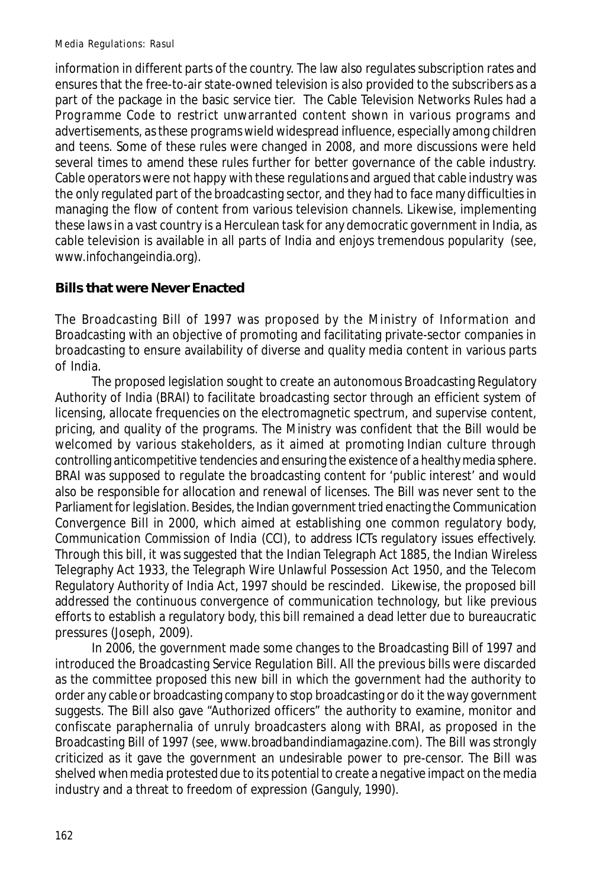information in different parts of the country. The law also regulates subscription rates and ensures that the free-to-air state-owned television is also provided to the subscribers as a part of the package in the basic service tier. The Cable Television Networks Rules had a *Programme Code* to restrict unwarranted content shown in various programs and advertisements, as these programs wield widespread influence, especially among children and teens. Some of these rules were changed in 2008, and more discussions were held several times to amend these rules further for better governance of the cable industry. Cable operators were not happy with these regulations and argued that cable industry was the only regulated part of the broadcasting sector, and they had to face many difficulties in managing the flow of content from various television channels. Likewise, implementing these laws in a vast country is a Herculean task for any democratic government in India, as cable television is available in all parts of India and enjoys tremendous popularity (see, www.infochangeindia.org).

## **Bills that were Never Enacted**

The Broadcasting Bill of 1997 was proposed by the Ministry of Information and Broadcasting with an objective of promoting and facilitating private-sector companies in broadcasting to ensure availability of diverse and quality media content in various parts of India.

The proposed legislation sought to create an autonomous Broadcasting Regulatory Authority of India (BRAI) to facilitate broadcasting sector through an efficient system of licensing, allocate frequencies on the electromagnetic spectrum, and supervise content, pricing, and quality of the programs. The Ministry was confident that the Bill would be welcomed by various stakeholders, as it aimed at promoting Indian culture through controlling anticompetitive tendencies and ensuring the existence of a healthy media sphere. BRAI was supposed to regulate the broadcasting content for 'public interest' and would also be responsible for allocation and renewal of licenses. The Bill was never sent to the Parliament for legislation. Besides, the Indian government tried enacting the Communication Convergence Bill in 2000, which aimed at establishing one common regulatory body, *Communication Commission of India* (CCI), to address ICTs regulatory issues effectively. Through this bill, it was suggested that the Indian Telegraph Act 1885, the Indian Wireless Telegraphy Act 1933, the Telegraph Wire Unlawful Possession Act 1950, and the Telecom Regulatory Authority of India Act, 1997 should be rescinded. Likewise, the proposed bill addressed the continuous convergence of communication technology, but like previous efforts to establish a regulatory body, this bill remained a dead letter due to bureaucratic pressures (Joseph, 2009).

In 2006, the government made some changes to the Broadcasting Bill of 1997 and introduced the Broadcasting Service Regulation Bill. All the previous bills were discarded as the committee proposed this new bill in which the government had the authority to order any cable or broadcasting company to stop broadcasting or do it the way government suggests. The Bill also gave "Authorized officers" the authority to examine, monitor and confiscate paraphernalia of unruly broadcasters along with BRAI, as proposed in the Broadcasting Bill of 1997 (see, www.broadbandindiamagazine.com). The Bill was strongly criticized as it gave the government an undesirable power to pre-censor. The Bill was shelved when media protested due to its potential to create a negative impact on the media industry and a threat to freedom of expression (Ganguly, 1990).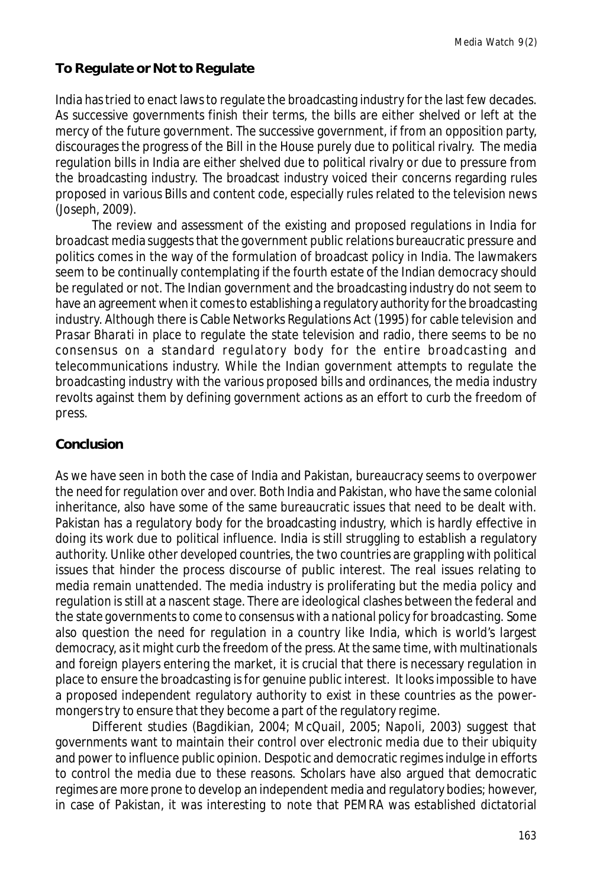# **To Regulate or Not to Regulate**

India has tried to enact laws to regulate the broadcasting industry for the last few decades. As successive governments finish their terms, the bills are either shelved or left at the mercy of the future government. The successive government, if from an opposition party, discourages the progress of the Bill in the House purely due to political rivalry. The media regulation bills in India are either shelved due to political rivalry or due to pressure from the broadcasting industry. The broadcast industry voiced their concerns regarding rules proposed in various Bills and content code, especially rules related to the television news (Joseph, 2009).

The review and assessment of the existing and proposed regulations in India for broadcast media suggests that the government public relations bureaucratic pressure and politics comes in the way of the formulation of broadcast policy in India. The lawmakers seem to be continually contemplating if the fourth estate of the Indian democracy should be regulated or not. The Indian government and the broadcasting industry do not seem to have an agreement when it comes to establishing a regulatory authority for the broadcasting industry. Although there is Cable Networks Regulations Act (1995) for cable television and *Prasar Bharati* in place to regulate the state television and radio, there seems to be no consensus on a standard regulatory body for the entire broadcasting and telecommunications industry. While the Indian government attempts to regulate the broadcasting industry with the various proposed bills and ordinances, the media industry revolts against them by defining government actions as an effort to curb the freedom of press.

#### **Conclusion**

As we have seen in both the case of India and Pakistan, bureaucracy seems to overpower the need for regulation over and over. Both India and Pakistan, who have the same colonial inheritance, also have some of the same bureaucratic issues that need to be dealt with. Pakistan has a regulatory body for the broadcasting industry, which is hardly effective in doing its work due to political influence. India is still struggling to establish a regulatory authority. Unlike other developed countries, the two countries are grappling with political issues that hinder the process discourse of public interest. The real issues relating to media remain unattended. The media industry is proliferating but the media policy and regulation is still at a nascent stage. There are ideological clashes between the federal and the state governments to come to consensus with a national policy for broadcasting. Some also question the need for regulation in a country like India, which is world's largest democracy, as it might curb the freedom of the press. At the same time, with multinationals and foreign players entering the market, it is crucial that there is necessary regulation in place to ensure the broadcasting is for genuine public interest. It looks impossible to have a proposed independent regulatory authority to exist in these countries as the powermongers try to ensure that they become a part of the regulatory regime.

Different studies (Bagdikian, 2004; McQuail, 2005; Napoli, 2003) suggest that governments want to maintain their control over electronic media due to their ubiquity and power to influence public opinion. Despotic and democratic regimes indulge in efforts to control the media due to these reasons. Scholars have also argued that democratic regimes are more prone to develop an independent media and regulatory bodies; however, in case of Pakistan, it was interesting to note that PEMRA was established dictatorial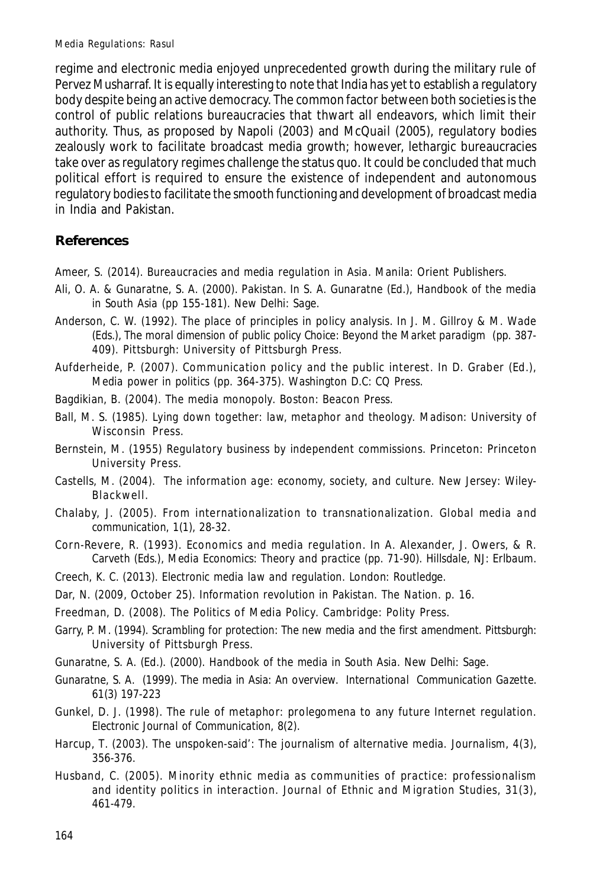regime and electronic media enjoyed unprecedented growth during the military rule of Pervez Musharraf. It is equally interesting to note that India has yet to establish a regulatory body despite being an active democracy. The common factor between both societies is the control of public relations bureaucracies that thwart all endeavors, which limit their authority. Thus, as proposed by Napoli (2003) and McQuail (2005), regulatory bodies zealously work to facilitate broadcast media growth; however, lethargic bureaucracies take over as regulatory regimes challenge the status quo. It could be concluded that much political effort is required to ensure the existence of independent and autonomous regulatory bodies to facilitate the smooth functioning and development of broadcast media in India and Pakistan.

#### **References**

Ameer, S. (2014). *Bureaucracies and media regulation in Asia*. Manila: Orient Publishers.

- Ali, O. A. & Gunaratne, S. A. (2000). Pakistan. In S. A. Gunaratne (Ed.), *Handbook of the media in South Asia* (pp 155-181)*.* New Delhi: Sage.
- Anderson, C. W. (1992). The place of principles in policy analysis. In J. M. Gillroy & M. Wade (Eds.), The *moral dimension of public policy Choice: Beyond the Market paradigm* (pp. 387- 409). Pittsburgh: University of Pittsburgh Press.
- Aufderheide, P. (2007). Communication policy and the public interest. In D. Graber (Ed.), *Media power in politics* (pp. 364-375)*.* Washington D.C: CQ Press.
- Bagdikian, B. (2004). *The media monopoly.* Boston: Beacon Press.
- Ball, M. S. (1985). *Lying down together: law, metaphor and theology.* Madison: University of Wisconsin Press.
- Bernstein, M. (1955) *Regulatory business by independent commissions*. Princeton: Princeton University Press.
- Castells, M. (2004). *The information age: economy, society, and culture.* New Jersey: Wiley-Blackwell.
- Chalaby, J. (2005). From internationalization to transnationalization. *Global media and communication,* 1(1), 28-32.
- Corn-Revere, R. (1993). Economics and media regulation. In A. Alexander, J. Owers, & R. Carveth (Eds.), *Media Economics: Theory and practice* (pp. 71-90). Hillsdale, NJ: Erlbaum.

Creech, K. C. (2013). *Electronic media law and regulation*. London: Routledge.

Dar, N. (2009, October 25). Information revolution in Pakistan. *The Nation.* p. 16.

Freedman, D. (2008). The Politics of Media Policy. Cambridge: Polity Press.

- Garry, P. M. (1994). *Scrambling for protection: The new media and the first amendment*. Pittsburgh: University of Pittsburgh Press.
- Gunaratne, S. A. (Ed.). (2000). *Handbook of the media in South Asia.* New Delhi: Sage.
- Gunaratne, S. A. (1999). The media in Asia: An overview. *International Communication Gazette.* 61(3) 197-223
- Gunkel, D. J. (1998). The rule of metaphor: prolegomena to any future Internet regulation. *Electronic Journal of Communication,* 8(2).
- Harcup, T. (2003). The unspoken-said': The journalism of alternative media. *Journalism,* 4(3), 356-376.
- Husband, C. (2005). Minority ethnic media as communities of practice: professionalism and identity politics in interaction. *Journal of Ethnic and Migration Studies*, 31(3), 461-479.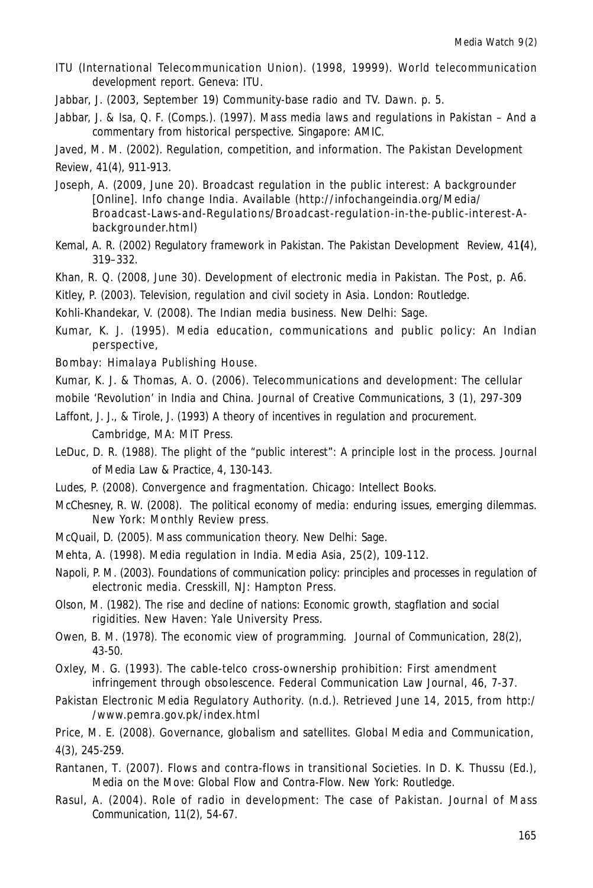- ITU (International Telecommunication Union). (1998, 19999). *World telecommunication development report.* Geneva: ITU.
- Jabbar, J. (2003, September 19) Community-base radio and TV. *Dawn.* p. 5.
- Jabbar, J. & Isa, Q. F. (Comps.). (1997). *Mass media laws and regulations in Pakistan And a commentary from historical perspective.* Singapore: AMIC.

Javed, M. M. (2002). Regulation, competition, and information. *The Pakistan Development Review*, *41*(4), 911-913.

- Joseph, A. (2009, June 20). Broadcast regulation in the public interest: A backgrounder [Online]. *Info change India.* Available (http://infochangeindia.org/Media/ Broadcast-Laws-and-Regulations/Broadcast-regulation-in-the-public-interest-Abackgrounder.html)
- Kemal, A. R. (2002) Regulatory framework in Pakistan. *The Pakistan Development Review,* 41**(**4), 319–332.
- Khan, R. Q. (2008, June 30). Development of electronic media in Pakistan. *The Post,* p. A6.

Kitley, P. (2003). *Television, regulation and civil society in Asia*. London: Routledge.

Kohli-Khandekar, V. (2008). *The Indian media business*. New Delhi: Sage.

- Kumar, K. J. (1995). Media education, communications and public policy: An Indian perspective,
- Bombay: Himalaya Publishing House.
- Kumar, K. J. & Thomas, A. O. (2006). Telecommunications and development: The cellular

mobile 'Revolution' in India and China. *Journal of Creative Communications,* 3 (1), 297-309

Laffont, J. J., & Tirole, J. (1993) *A theory of incentives in regulation and procurement*. Cambridge, MA: MIT Press.

- LeDuc, D. R. (1988). The plight of the "public interest": A principle lost in the process. *Journal of Media Law & Practice,* 4, 130-143.
- Ludes, P. (2008). *Convergence and fragmentation.* Chicago: Intellect Books.
- McChesney, R. W. (2008). *The political economy of media: enduring issues, emerging dilemmas.* New York: Monthly Review press.
- McQuail, D. (2005). *Mass communication theory. New Delhi*: Sage.
- Mehta, A. (1998). Media regulation in India. *Media Asia*, *25*(2), 109-112.

Napoli, P. M. (2003). *Foundations of communication policy: principles and processes in regulation of electronic media.* Cresskill, NJ: Hampton Press.

- Olson, M. (1982). *The rise and decline of nations: Economic growth, stagflation and social rigidities*. New Haven: Yale University Press.
- Owen, B. M. (1978). The economic view of programming. *Journal of Communication,* 28(2), 43-50.
- Oxley, M. G. (1993). The cable-telco cross-ownership prohibition: First amendment infringement through obsolescence. *Federal Communication Law Journal,* 46, 7-37.
- Pakistan Electronic Media Regulatory Authority. (n.d.). Retrieved June 14, 2015, from http:/ /www.pemra.gov.pk/index.html

Price, M. E. (2008). Governance, globalism and satellites. *Global Media and Communication*, *4*(3), 245-259.

- Rantanen, T. (2007). Flows and contra-flows in transitional Societies. In D. K. Thussu (Ed.), *Media on the Move: Global Flow and Contra-Flow.* New York: Routledge.
- Rasul, A. (2004). Role of radio in development: The case of Pakistan. *Journal of Mass Communication,* 11(2), 54-67.